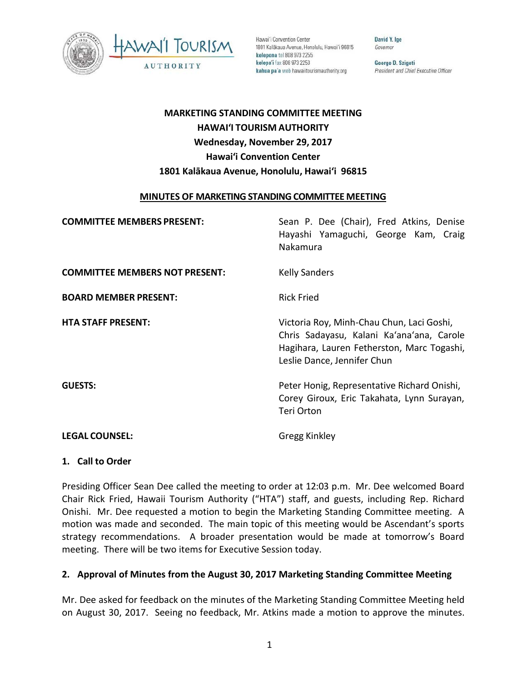

Hawai'i Convention Center 1801 Kalākaua Avenue, Honolulu, Hawai'i 96815 kelepona tel 808 973 2255 kelepa'i fax 808 973 2253 kahua pa'a web hawaiitourismauthority.org

David Y. Ige Governor

George D. Szigeti President and Chief Executive Officer

# **MARKETING STANDING COMMITTEE MEETING HAWAI'I TOURISM AUTHORITY Wednesday, November 29, 2017 Hawai'i Convention Center 1801 Kalākaua Avenue, Honolulu, Hawai'i 96815**

#### **MINUTES OF MARKETING STANDING COMMITTEE MEETING**

| <b>COMMITTEE MEMBERS PRESENT:</b>     | Sean P. Dee (Chair), Fred Atkins, Denise<br>Hayashi Yamaguchi, George Kam, Craig<br>Nakamura                                                                        |
|---------------------------------------|---------------------------------------------------------------------------------------------------------------------------------------------------------------------|
| <b>COMMITTEE MEMBERS NOT PRESENT:</b> | <b>Kelly Sanders</b>                                                                                                                                                |
| <b>BOARD MEMBER PRESENT:</b>          | <b>Rick Fried</b>                                                                                                                                                   |
| <b>HTA STAFF PRESENT:</b>             | Victoria Roy, Minh-Chau Chun, Laci Goshi,<br>Chris Sadayasu, Kalani Ka'ana'ana, Carole<br>Hagihara, Lauren Fetherston, Marc Togashi,<br>Leslie Dance, Jennifer Chun |
| <b>GUESTS:</b>                        | Peter Honig, Representative Richard Onishi,<br>Corey Giroux, Eric Takahata, Lynn Surayan,<br>Teri Orton                                                             |
| <b>LEGAL COUNSEL:</b>                 | Gregg Kinkley                                                                                                                                                       |

#### **1. Call to Order**

Presiding Officer Sean Dee called the meeting to order at 12:03 p.m. Mr. Dee welcomed Board Chair Rick Fried, Hawaii Tourism Authority ("HTA") staff, and guests, including Rep. Richard Onishi. Mr. Dee requested a motion to begin the Marketing Standing Committee meeting. A motion was made and seconded. The main topic of this meeting would be Ascendant's sports strategy recommendations. A broader presentation would be made at tomorrow's Board meeting. There will be two items for Executive Session today.

## **2. Approval of Minutes from the August 30, 2017 Marketing Standing Committee Meeting**

Mr. Dee asked for feedback on the minutes of the Marketing Standing Committee Meeting held on August 30, 2017. Seeing no feedback, Mr. Atkins made a motion to approve the minutes.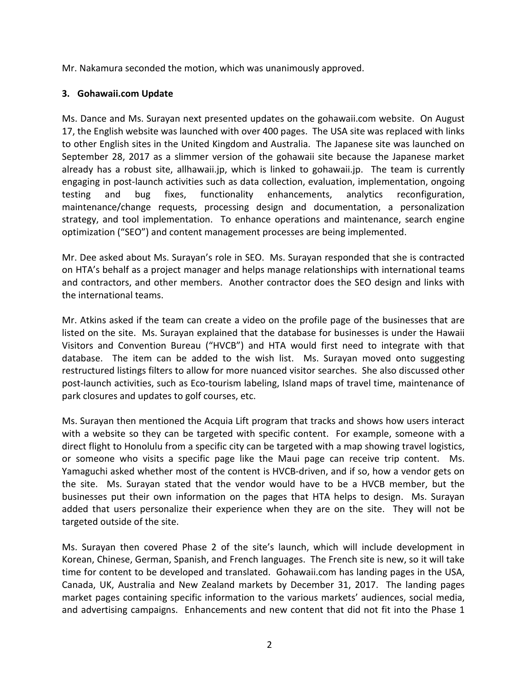Mr. Nakamura seconded the motion, which was unanimously approved.

#### **3. Gohawaii.com Update**

Ms. Dance and Ms. Surayan next presented updates on the gohawaii.com website. On August 17, the English website was launched with over 400 pages. The USA site was replaced with links to other English sites in the United Kingdom and Australia. The Japanese site was launched on September 28, 2017 as a slimmer version of the gohawaii site because the Japanese market already has a robust site, allhawaii.jp, which is linked to gohawaii.jp. The team is currently engaging in post-launch activities such as data collection, evaluation, implementation, ongoing testing and bug fixes, functionality enhancements, analytics reconfiguration, maintenance/change requests, processing design and documentation, a personalization strategy, and tool implementation. To enhance operations and maintenance, search engine optimization ("SEO") and content management processes are being implemented.

Mr. Dee asked about Ms. Surayan's role in SEO. Ms. Surayan responded that she is contracted on HTA's behalf as a project manager and helps manage relationships with international teams and contractors, and other members. Another contractor does the SEO design and links with the international teams.

Mr. Atkins asked if the team can create a video on the profile page of the businesses that are listed on the site. Ms. Surayan explained that the database for businesses is under the Hawaii Visitors and Convention Bureau ("HVCB") and HTA would first need to integrate with that database. The item can be added to the wish list. Ms. Surayan moved onto suggesting restructured listings filters to allow for more nuanced visitor searches. She also discussed other post-launch activities, such as Eco-tourism labeling, Island maps of travel time, maintenance of park closures and updates to golf courses, etc.

Ms. Surayan then mentioned the Acquia Lift program that tracks and shows how users interact with a website so they can be targeted with specific content. For example, someone with a direct flight to Honolulu from a specific city can be targeted with a map showing travel logistics, or someone who visits a specific page like the Maui page can receive trip content. Ms. Yamaguchi asked whether most of the content is HVCB-driven, and if so, how a vendor gets on the site. Ms. Surayan stated that the vendor would have to be a HVCB member, but the businesses put their own information on the pages that HTA helps to design. Ms. Surayan added that users personalize their experience when they are on the site. They will not be targeted outside of the site.

Ms. Surayan then covered Phase 2 of the site's launch, which will include development in Korean, Chinese, German, Spanish, and French languages. The French site is new, so it will take time for content to be developed and translated. Gohawaii.com has landing pages in the USA, Canada, UK, Australia and New Zealand markets by December 31, 2017. The landing pages market pages containing specific information to the various markets' audiences, social media, and advertising campaigns. Enhancements and new content that did not fit into the Phase 1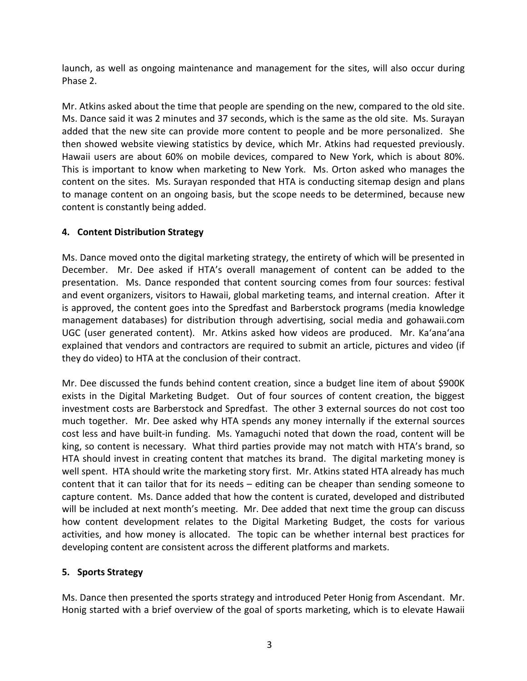launch, as well as ongoing maintenance and management for the sites, will also occur during Phase 2.

Mr. Atkins asked about the time that people are spending on the new, compared to the old site. Ms. Dance said it was 2 minutes and 37 seconds, which is the same as the old site. Ms. Surayan added that the new site can provide more content to people and be more personalized. She then showed website viewing statistics by device, which Mr. Atkins had requested previously. Hawaii users are about 60% on mobile devices, compared to New York, which is about 80%. This is important to know when marketing to New York. Ms. Orton asked who manages the content on the sites. Ms. Surayan responded that HTA is conducting sitemap design and plans to manage content on an ongoing basis, but the scope needs to be determined, because new content is constantly being added.

# **4. Content Distribution Strategy**

Ms. Dance moved onto the digital marketing strategy, the entirety of which will be presented in December. Mr. Dee asked if HTA's overall management of content can be added to the presentation. Ms. Dance responded that content sourcing comes from four sources: festival and event organizers, visitors to Hawaii, global marketing teams, and internal creation. After it is approved, the content goes into the Spredfast and Barberstock programs (media knowledge management databases) for distribution through advertising, social media and gohawaii.com UGC (user generated content). Mr. Atkins asked how videos are produced. Mr. Ka'ana'ana explained that vendors and contractors are required to submit an article, pictures and video (if they do video) to HTA at the conclusion of their contract.

Mr. Dee discussed the funds behind content creation, since a budget line item of about \$900K exists in the Digital Marketing Budget. Out of four sources of content creation, the biggest investment costs are Barberstock and Spredfast. The other 3 external sources do not cost too much together. Mr. Dee asked why HTA spends any money internally if the external sources cost less and have built-in funding. Ms. Yamaguchi noted that down the road, content will be king, so content is necessary. What third parties provide may not match with HTA's brand, so HTA should invest in creating content that matches its brand. The digital marketing money is well spent. HTA should write the marketing story first. Mr. Atkins stated HTA already has much content that it can tailor that for its needs – editing can be cheaper than sending someone to capture content. Ms. Dance added that how the content is curated, developed and distributed will be included at next month's meeting. Mr. Dee added that next time the group can discuss how content development relates to the Digital Marketing Budget, the costs for various activities, and how money is allocated. The topic can be whether internal best practices for developing content are consistent across the different platforms and markets.

## **5. Sports Strategy**

Ms. Dance then presented the sports strategy and introduced Peter Honig from Ascendant. Mr. Honig started with a brief overview of the goal of sports marketing, which is to elevate Hawaii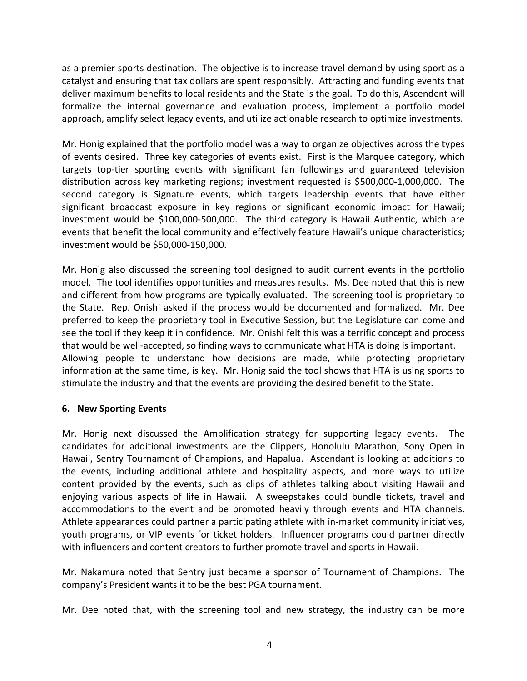as a premier sports destination. The objective is to increase travel demand by using sport as a catalyst and ensuring that tax dollars are spent responsibly. Attracting and funding events that deliver maximum benefits to local residents and the State is the goal. To do this, Ascendent will formalize the internal governance and evaluation process, implement a portfolio model approach, amplify select legacy events, and utilize actionable research to optimize investments.

Mr. Honig explained that the portfolio model was a way to organize objectives across the types of events desired. Three key categories of events exist. First is the Marquee category, which targets top-tier sporting events with significant fan followings and guaranteed television distribution across key marketing regions; investment requested is \$500,000-1,000,000. The second category is Signature events, which targets leadership events that have either significant broadcast exposure in key regions or significant economic impact for Hawaii; investment would be \$100,000-500,000. The third category is Hawaii Authentic, which are events that benefit the local community and effectively feature Hawaii's unique characteristics; investment would be \$50,000-150,000.

Mr. Honig also discussed the screening tool designed to audit current events in the portfolio model. The tool identifies opportunities and measures results. Ms. Dee noted that this is new and different from how programs are typically evaluated. The screening tool is proprietary to the State. Rep. Onishi asked if the process would be documented and formalized. Mr. Dee preferred to keep the proprietary tool in Executive Session, but the Legislature can come and see the tool if they keep it in confidence. Mr. Onishi felt this was a terrific concept and process that would be well-accepted, so finding ways to communicate what HTA is doing is important. Allowing people to understand how decisions are made, while protecting proprietary information at the same time, is key. Mr. Honig said the tool shows that HTA is using sports to stimulate the industry and that the events are providing the desired benefit to the State.

## **6. New Sporting Events**

Mr. Honig next discussed the Amplification strategy for supporting legacy events. The candidates for additional investments are the Clippers, Honolulu Marathon, Sony Open in Hawaii, Sentry Tournament of Champions, and Hapalua. Ascendant is looking at additions to the events, including additional athlete and hospitality aspects, and more ways to utilize content provided by the events, such as clips of athletes talking about visiting Hawaii and enjoying various aspects of life in Hawaii. A sweepstakes could bundle tickets, travel and accommodations to the event and be promoted heavily through events and HTA channels. Athlete appearances could partner a participating athlete with in-market community initiatives, youth programs, or VIP events for ticket holders. Influencer programs could partner directly with influencers and content creators to further promote travel and sports in Hawaii.

Mr. Nakamura noted that Sentry just became a sponsor of Tournament of Champions. The company's President wants it to be the best PGA tournament.

Mr. Dee noted that, with the screening tool and new strategy, the industry can be more